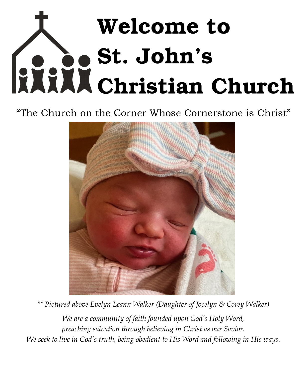# Welcome to St. John's Christian Church

# "The Church on the Corner Whose Cornerstone is Christ"



*\*\* Pictured above Evelyn Leann Walker (Daughter of Jocelyn & Corey Walker)*

*We are a community of faith founded upon God's Holy Word, preaching salvation through believing in Christ as our Savior. We seek to live in God's truth, being obedient to His Word and following in His ways.*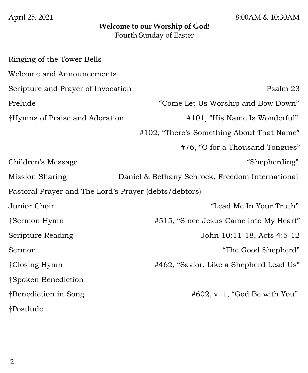April 25, 2021 8:00AM & 10:30AM

#### **Welcome to our Worship of God!** Fourth Sunday of Easter

| Ringing of the Tower Bells                            |                                                 |
|-------------------------------------------------------|-------------------------------------------------|
| Welcome and Announcements                             |                                                 |
| Scripture and Prayer of Invocation                    | Psalm 23                                        |
| Prelude                                               | "Come Let Us Worship and Bow Down"              |
| †Hymns of Praise and Adoration                        | #101, "His Name Is Wonderful"                   |
|                                                       | #102, "There's Something About That Name"       |
|                                                       | #76, "O for a Thousand Tongues"                 |
| Children's Message                                    | "Shepherding"                                   |
| Mission Sharing                                       | Daniel & Bethany Schrock, Freedom International |
| Pastoral Prayer and The Lord's Prayer (debts/debtors) |                                                 |
| Junior Choir                                          | "Lead Me In Your Truth"                         |
| †Sermon Hymn                                          | #515, "Since Jesus Came into My Heart"          |
| <b>Scripture Reading</b>                              | John 10:11-18, Acts 4:5-12                      |
| Sermon                                                | "The Good Shepherd"                             |
| †Closing Hymn                                         | #462, "Savior, Like a Shepherd Lead Us"         |
| Spoken Benediction                                    |                                                 |
| †Benediction in Song                                  | $#602$ , v. 1, "God Be with You"                |
| †Postlude                                             |                                                 |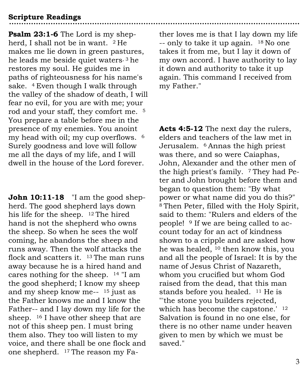# **Scripture Readings**

**Psalm 23:1-6** The Lord is my shepherd, I shall not be in want. <sup>2</sup> He makes me lie down in green pastures, he leads me beside quiet waters, 3 he restores my soul. He guides me in paths of righteousness for his name's sake. 4 Even though I walk through the valley of the shadow of death, I will fear no evil, for you are with me; your rod and your staff, they comfort me. <sup>5</sup> You prepare a table before me in the presence of my enemies. You anoint my head with oil; my cup overflows. <sup>6</sup> Surely goodness and love will follow me all the days of my life, and I will dwell in the house of the Lord forever.

**John 10:11-18** "I am the good shepherd. The good shepherd lays down his life for the sheep. 12 The hired hand is not the shepherd who owns the sheep. So when he sees the wolf coming, he abandons the sheep and runs away. Then the wolf attacks the flock and scatters it. 13 The man runs away because he is a hired hand and cares nothing for the sheep. <sup>14</sup> "I am the good shepherd; I know my sheep and my sheep know me-- <sup>15</sup> just as the Father knows me and I know the Father-- and I lay down my life for the sheep. <sup>16</sup> I have other sheep that are not of this sheep pen. I must bring them also. They too will listen to my voice, and there shall be one flock and one shepherd. 17 The reason my Father loves me is that I lay down my life -- only to take it up again. 18 No one takes it from me, but I lay it down of my own accord. I have authority to lay it down and authority to take it up again. This command I received from my Father."

**Acts 4:5-12** The next day the rulers, elders and teachers of the law met in Jerusalem. 6 Annas the high priest was there, and so were Caiaphas, John, Alexander and the other men of the high priest's family. <sup>7</sup> They had Peter and John brought before them and began to question them: "By what power or what name did you do this?" <sup>8</sup>Then Peter, filled with the Holy Spirit, said to them: "Rulers and elders of the people! <sup>9</sup> If we are being called to account today for an act of kindness shown to a cripple and are asked how he was healed, <sup>10</sup> then know this, you and all the people of Israel: It is by the name of Jesus Christ of Nazareth, whom you crucified but whom God raised from the dead, that this man stands before you healed. <sup>11</sup> He is "'the stone you builders rejected, which has become the capstone.' <sup>12</sup> Salvation is found in no one else, for there is no other name under heaven given to men by which we must be saved."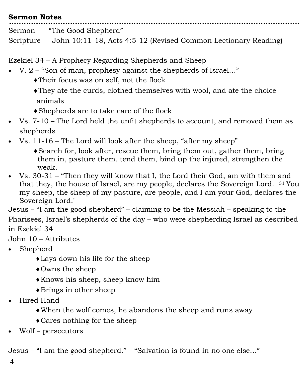| <b>Sermon Notes</b> |                                                                          |  |  |  |  |
|---------------------|--------------------------------------------------------------------------|--|--|--|--|
|                     | Sermon "The Good Shepherd"                                               |  |  |  |  |
|                     | Scripture John 10:11-18, Acts 4:5-12 (Revised Common Lectionary Reading) |  |  |  |  |

Ezekiel 34 – A Prophecy Regarding Shepherds and Sheep

- V. 2 "Son of man, prophesy against the shepherds of Israel…"
	- Their focus was on self, not the flock
	- They ate the curds, clothed themselves with wool, and ate the choice animals
	- Shepherds are to take care of the flock
- Vs. 7-10 The Lord held the unfit shepherds to account, and removed them as shepherds
- Vs. 11-16 The Lord will look after the sheep, "after my sheep"
	- Search for, look after, rescue them, bring them out, gather them, bring them in, pasture them, tend them, bind up the injured, strengthen the weak.
- Vs. 30-31 "Then they will know that I, the Lord their God, am with them and that they, the house of Israel, are my people, declares the Sovereign Lord. 31 You my sheep, the sheep of my pasture, are people, and I am your God, declares the Sovereign Lord."

Jesus – "I am the good shepherd" – claiming to be the Messiah – speaking to the Pharisees, Israel's shepherds of the day – who were shepherding Israel as described in Ezekiel 34

John 10 – Attributes

- Shepherd
	- Lays down his life for the sheep
	- Owns the sheep
	- Knows his sheep, sheep know him
	- Brings in other sheep
- Hired Hand
	- When the wolf comes, he abandons the sheep and runs away
	- Cares nothing for the sheep
- Wolf persecutors

Jesus – "I am the good shepherd." – "Salvation is found in no one else…"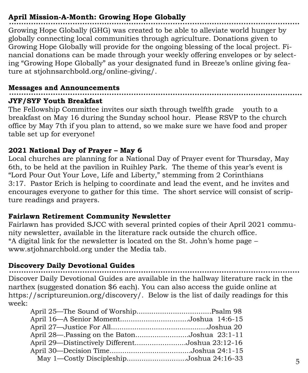# **April Mission-A-Month: Growing Hope Globally**

Growing Hope Globally (GHG) was created to be able to alleviate world hunger by globally connecting local communities through agriculture. Donations given to Growing Hope Globally will provide for the ongoing blessing of the local project. Financial donations can be made through your weekly offering envelopes or by selecting "Growing Hope Globally" as your designated fund in Breeze's online giving feature at stjohnsarchbold.org/online-giving/.

#### **Messages and Announcements**

# **JYF/SYF Youth Breakfast**

The Fellowship Committee invites our sixth through twelfth grade youth to a breakfast on May 16 during the Sunday school hour. Please RSVP to the church office by May 7th if you plan to attend, so we make sure we have food and proper table set up for everyone!

# **2021 National Day of Prayer – May 6**

Local churches are planning for a National Day of Prayer event for Thursday, May 6th, to be held at the pavilion in Ruihley Park. The theme of this year's event is "Lord Pour Out Your Love, Life and Liberty," stemming from 2 Corinthians 3:17. Pastor Erich is helping to coordinate and lead the event, and he invites and encourages everyone to gather for this time. The short service will consist of scripture readings and prayers.

# **Fairlawn Retirement Community Newsletter**

Fairlawn has provided SJCC with several printed copies of their April 2021 community newsletter, available in the literature rack outside the church office. \*A digital link for the newsletter is located on the St. John's home page – www.stjohnarchbold.org under the Media tab.

# **Discovery Daily Devotional Guides**

Discover Daily Devotional Guides are available in the hallway literature rack in the narthex (suggested donation \$6 each). You can also access the guide online at https://scriptureunion.org/discovery/. Below is the list of daily readings for this week:

| April 16—A Senior MomentJoshua 14:6-15          |  |
|-------------------------------------------------|--|
|                                                 |  |
| April 28—.Passing on the BatonJoshua 23:1-11    |  |
| April 29—Distinctively DifferentJoshua 23:12-16 |  |
|                                                 |  |
| May 1—Costly DiscipleshipJoshua 24:16-33        |  |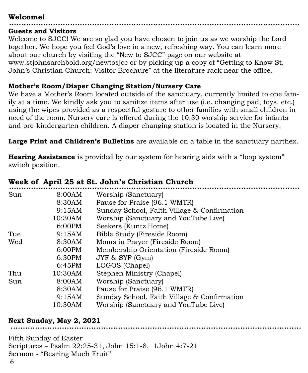# **Welcome!**

#### **Guests and Visitors**

Welcome to SJCC! We are so glad you have chosen to join us as we worship the Lord together. We hope you feel God's love in a new, refreshing way. You can learn more about our church by visiting the "New to SJCC" page on our website at www.stjohnsarchbold.org/newtosjcc or by picking up a copy of "Getting to Know St. John's Christian Church: Visitor Brochure" at the literature rack near the office.

#### **Mother's Room/Diaper Changing Station/Nursery Care**

We have a Mother's Room located outside of the sanctuary, currently limited to one family at a time. We kindly ask you to sanitize items after use (i.e. changing pad, toys, etc.) using the wipes provided as a respectful gesture to other families with small children in need of the room. Nursery care is offered during the 10:30 worship service for infants and pre-kindergarten children. A diaper changing station is located in the Nursery.

**Large Print and Children's Bulletins** are available on a table in the sanctuary narthex.

**Hearing Assistance** is provided by our system for hearing aids with a "loop system" switch position.

|     | "" """" """""" "" """ """ """"" |                                             |
|-----|---------------------------------|---------------------------------------------|
| Sun | 8:00AM                          | Worship (Sanctuary)                         |
|     | 8:30AM                          | Pause for Praise (96.1 WMTR)                |
|     | 9:15AM                          | Sunday School, Faith Village & Confirmation |
|     | 10:30AM                         | Worship (Sanctuary and YouTube Live)        |
|     | 6:00PM                          | Seekers (Kuntz Home)                        |
| Tue | 9:15AM                          | Bible Study (Fireside Room)                 |
| Wed | 8:30AM                          | Moms in Prayer (Fireside Room)              |
|     | 6:00PM                          | Membership Orientation (Fireside Room)      |
|     | 6:30PM                          | JYF & SYF (Gym)                             |
|     | 6:45PM                          | LOGOS (Chapel)                              |
| Thu | 10:30AM                         | Stephen Ministry (Chapel)                   |
| Sun | 8:00AM                          | Worship (Sanctuary)                         |
|     | 8:30AM                          | Pause for Praise (96.1 WMTR)                |
|     | 9:15AM                          | Sunday School, Faith Village & Confirmation |
|     | 10:30AM                         | Worship (Sanctuary and YouTube Live)        |
|     |                                 |                                             |

# **Week of April 25 at St. John's Christian Church**

# **Next Sunday, May 2, 2021**

Fifth Sunday of Easter Scriptures – Psalm 22:25-31, John 15:1-8, 1John 4:7-21 Sermon - "Bearing Much Fruit"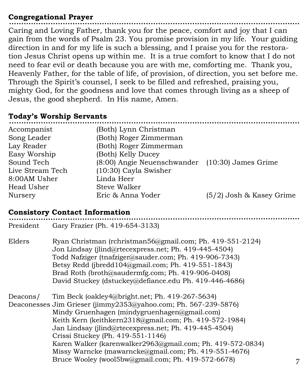# **Congregational Prayer**

Caring and Loving Father, thank you for the peace, comfort and joy that I can gain from the words of Psalm 23. You promise provision in my life. Your guiding direction in and for my life is such a blessing, and I praise you for the restoration Jesus Christ opens up within me. It is a true comfort to know that I do not need to fear evil or death because you are with me, comforting me. Thank you, Heavenly Father, for the table of life, of provision, of direction, you set before me. Through the Spirit's counsel, I seek to be filled and refreshed, praising you, mighty God, for the goodness and love that comes through living as a sheep of Jesus, the good shepherd. In His name, Amen.

#### **Today's Worship Servants**

| Accompanist      | (Both) Lynn Christman                           |                            |
|------------------|-------------------------------------------------|----------------------------|
| Song Leader      | (Both) Roger Zimmerman                          |                            |
| Lay Reader       | (Both) Roger Zimmerman                          |                            |
| Easy Worship     | (Both) Kelly Ducey                              |                            |
| Sound Tech       | (8:00) Angie Neuenschwander (10:30) James Grime |                            |
| Live Stream Tech | $(10:30)$ Cayla Swisher                         |                            |
| 8:00AM Usher     | Linda Heer                                      |                            |
| Head Usher       | Steve Walker                                    |                            |
| Nursery          | Eric & Anna Yoder                               | $(5/2)$ Josh & Kasey Grime |
|                  |                                                 |                            |

# **Consistory Contact Information**

| President | Gary Frazier (Ph. 419-654-3133)                                                                                                                                                                                                                                                                                                                                                                                                                                                                         |  |
|-----------|---------------------------------------------------------------------------------------------------------------------------------------------------------------------------------------------------------------------------------------------------------------------------------------------------------------------------------------------------------------------------------------------------------------------------------------------------------------------------------------------------------|--|
| Elders    | Ryan Christman (rchristman56@gmail.com; Ph. 419-551-2124)<br>Jon Lindsay (jlind@rtecexpress.net; Ph. 419-445-4504)<br>Todd Nafziger (tnafziger@sauder.com; Ph. 419-906-7343)<br>Betsy Redd (jbredd104@gmail.com; Ph. 419-551-1843)<br>Brad Roth (broth@saudermfg.com; Ph. 419-906-0408)<br>David Stuckey (dstuckey@defiance.edu Ph. 419-446-4686)                                                                                                                                                       |  |
| Deacons/  | Tim Beck (oakley4@bright.net; Ph. 419-267-5634)<br>Deaconesses Jim Grieser (jimmy2353@yahoo.com; Ph. 567-239-5876)<br>Mindy Gruenhagen (mindygruenhagen@gmail.com)<br>Keith Kern (keithkern2318@gmail.com; Ph. 419-572-1984)<br>Jan Lindsay (jlind@rtecexpress.net; Ph. 419-445-4504)<br>Crissi Stuckey (Ph. 419-551-1146)<br>Karen Walker (karenwalker2963@gmail.com; Ph. 419-572-0834)<br>Missy Warncke (mawarncke@gmail.com; Ph. 419-551-4676)<br>Bruce Wooley (wool5bw@gmail.com; Ph. 419-572-6678) |  |